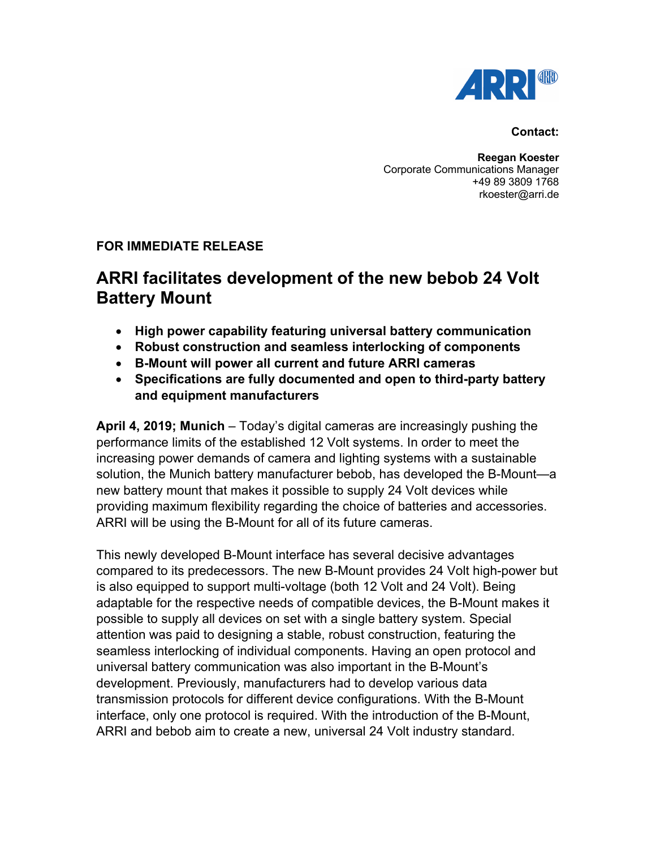

### **Contact:**

**Reegan Koester** Corporate Communications Manager +49 89 3809 1768 rkoester@arri.de

## **FOR IMMEDIATE RELEASE**

# **ARRI facilitates development of the new bebob 24 Volt Battery Mount**

- **High power capability featuring universal battery communication**
- **Robust construction and seamless interlocking of components**
- **B-Mount will power all current and future ARRI cameras**
- **Specifications are fully documented and open to third-party battery and equipment manufacturers**

**April 4, 2019; Munich** – Today's digital cameras are increasingly pushing the performance limits of the established 12 Volt systems. In order to meet the increasing power demands of camera and lighting systems with a sustainable solution, the Munich battery manufacturer bebob, has developed the B-Mount—a new battery mount that makes it possible to supply 24 Volt devices while providing maximum flexibility regarding the choice of batteries and accessories. ARRI will be using the B-Mount for all of its future cameras.

This newly developed B-Mount interface has several decisive advantages compared to its predecessors. The new B-Mount provides 24 Volt high-power but is also equipped to support multi-voltage (both 12 Volt and 24 Volt). Being adaptable for the respective needs of compatible devices, the B-Mount makes it possible to supply all devices on set with a single battery system. Special attention was paid to designing a stable, robust construction, featuring the seamless interlocking of individual components. Having an open protocol and universal battery communication was also important in the B-Mount's development. Previously, manufacturers had to develop various data transmission protocols for different device configurations. With the B-Mount interface, only one protocol is required. With the introduction of the B-Mount, ARRI and bebob aim to create a new, universal 24 Volt industry standard.